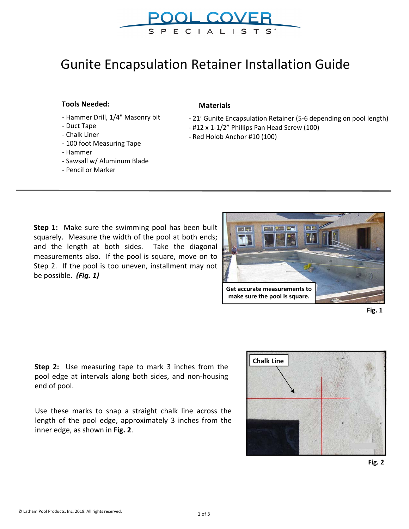

SPECIALISTS<sup>®</sup>

## **Tools Needed:**

- Hammer Drill, 1/4" Masonry bit
- Duct Tape
- Chalk Liner
- 100 foot Measuring Tape
- Hammer
- Sawsall w/ Aluminum Blade
- Pencil or Marker

## **Materials**

- 21' Gunite Encapsulation Retainer (5-6 depending on pool length)
- #12 x 1-1/2" Phillips Pan Head Screw (100)
- Red Holob Anchor #10 (100)

**Step 1:** Make sure the swimming pool has been built squarely. Measure the width of the pool at both ends; and the length at both sides. Take the diagonal measurements also. If the pool is square, move on to Step 2. If the pool is too uneven, installment may not be possible. *(Fig. 1)* 



**Fig. 1** 

**Step 2:** Use measuring tape to mark 3 inches from the pool edge at intervals along both sides, and non-housing end of pool.

Use these marks to snap a straight chalk line across the length of the pool edge, approximately 3 inches from the inner edge, as shown in **Fig. 2**.

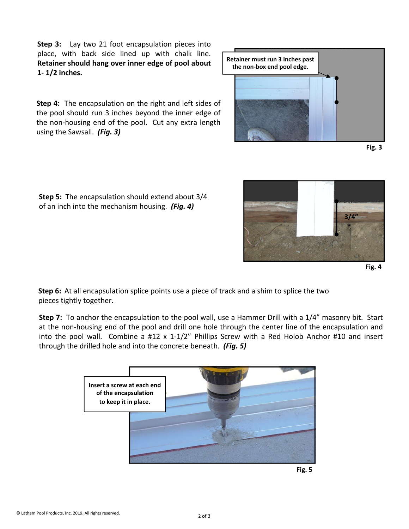**Step 3:** Lay two 21 foot encapsulation pieces into place, with back side lined up with chalk line. **Retainer should hang over inner edge of pool about 1- 1/2 inches.**

**Step 4:** The encapsulation on the right and left sides of the pool should run 3 inches beyond the inner edge of the non-housing end of the pool. Cut any extra length using the Sawsall. *(Fig. 3)*

**Step 5:** The encapsulation should extend about 3/4 of an inch into the mechanism housing. *(Fig. 4)*

© Latham Pool Products, Inc. 2019. All rights reserved.







**Step 6:** At all encapsulation splice points use a piece of track and a shim to splice the two pieces tightly together.

**Step 7:** To anchor the encapsulation to the pool wall, use a Hammer Drill with a 1/4" masonry bit. Start at the non-housing end of the pool and drill one hole through the center line of the encapsulation and into the pool wall. Combine a #12 x 1-1/2" Phillips Screw with a Red Holob Anchor #10 and insert through the drilled hole and into the concrete beneath. *(Fig. 5)*